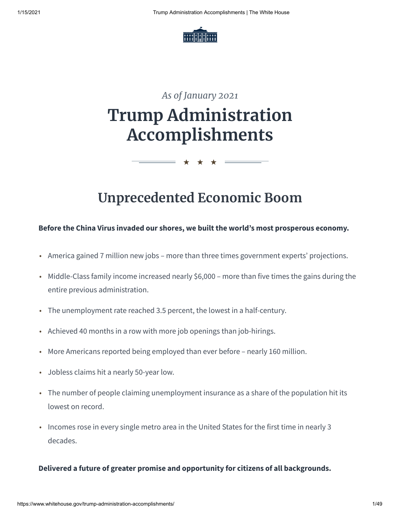

# *As of January 2021* **Trump Administration Accomplishments**

## **Unprecedented Economic Boom**

★ ★ ★

#### **Before the China Virus invaded our shores, we built the world's most prosperous economy.**

- America gained 7 million new jobs more than three times government experts' projections.
- Middle-Class family income increased nearly \$6,000 more than five times the gains during the entire previous administration.
- The unemployment rate reached 3.5 percent, the lowest in a half-century.
- Achieved 40 months in a row with more job openings than job-hirings.
- More Americans reported being employed than ever before nearly 160 million.
- Jobless claims hit a nearly 50-year low.
- The number of people claiming unemployment insurance as a share of the population hit its lowest on record.
- Incomes rose in every single metro area in the United States for the first time in nearly 3 decades.

#### **Delivered a future of greater promise and opportunity for citizens of all backgrounds.**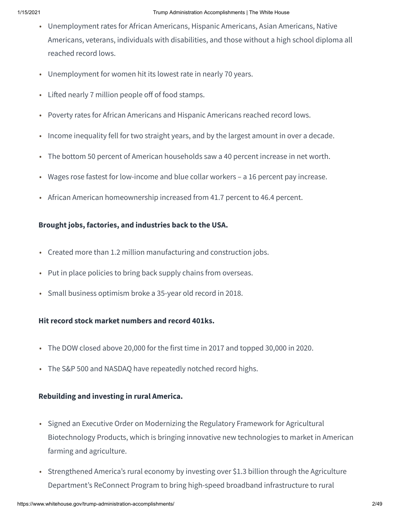- Unemployment rates for African Americans, Hispanic Americans, Asian Americans, Native Americans, veterans, individuals with disabilities, and those without a high school diploma all reached record lows.
- Unemployment for women hit its lowest rate in nearly 70 years.
- $\cdot$  Lifted nearly 7 million people off of food stamps.
- Poverty rates for African Americans and Hispanic Americans reached record lows.
- Income inequality fell for two straight years, and by the largest amount in over a decade.
- The bottom 50 percent of American households saw a 40 percent increase in net worth.
- Wages rose fastest for low-income and blue collar workers a 16 percent pay increase.
- African American homeownership increased from 41.7 percent to 46.4 percent.

#### **Brought jobs, factories, and industries back to the USA.**

- Created more than 1.2 million manufacturing and construction jobs.
- Put in place policies to bring back supply chains from overseas.
- Small business optimism broke a 35-year old record in 2018.

#### **Hit record stock market numbers and record 401ks.**

- The DOW closed above 20,000 for the first time in 2017 and topped 30,000 in 2020.
- The S&P 500 and NASDAQ have repeatedly notched record highs.

#### **Rebuilding and investing in rural America.**

- Signed an Executive Order on Modernizing the Regulatory Framework for Agricultural Biotechnology Products, which is bringing innovative new technologies to market in American farming and agriculture.
- Strengthened America's rural economy by investing over \$1.3 billion through the Agriculture Department's ReConnect Program to bring high-speed broadband infrastructure to rural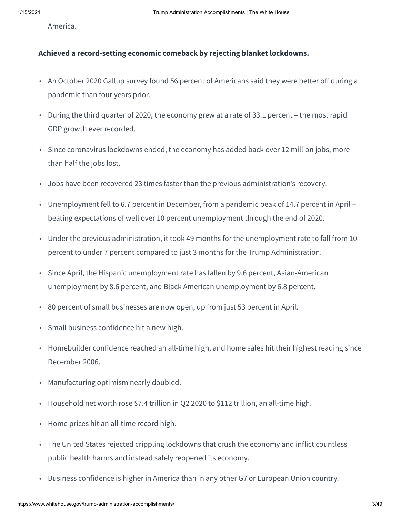America.

#### **Achieved a record-setting economic comeback by rejecting blanket lockdowns.**

- An October 2020 Gallup survey found 56 percent of Americans said they were better off during a pandemic than four years prior.
- During the third quarter of 2020, the economy grew at a rate of 33.1 percent the most rapid GDP growth ever recorded.
- Since coronavirus lockdowns ended, the economy has added back over 12 million jobs, more than half the jobs lost.
- Jobs have been recovered 23 times faster than the previous administration's recovery.
- Unemployment fell to 6.7 percent in December, from a pandemic peak of 14.7 percent in April beating expectations of well over 10 percent unemployment through the end of 2020.
- Under the previous administration, it took 49 months for the unemployment rate to fall from 10 percent to under 7 percent compared to just 3 months for the Trump Administration.
- Since April, the Hispanic unemployment rate has fallen by 9.6 percent, Asian-American unemployment by 8.6 percent, and Black American unemployment by 6.8 percent.
- 80 percent of small businesses are now open, up from just 53 percent in April.
- Small business confidence hit a new high.
- Homebuilder confidence reached an all-time high, and home sales hit their highest reading since December 2006.
- Manufacturing optimism nearly doubled.
- Household net worth rose \$7.4 trillion in Q2 2020 to \$112 trillion, an all-time high.
- Home prices hit an all-time record high.
- The United States rejected crippling lockdowns that crush the economy and inflict countless public health harms and instead safely reopened its economy.
- Business confidence is higher in America than in any other G7 or European Union country.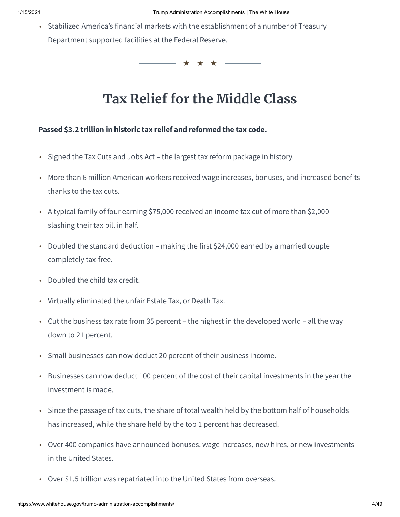• Stabilized America's financial markets with the establishment of a number of Treasury Department supported facilities at the Federal Reserve.

★ ★ ★

## **Tax Relief for the Middle Class**

#### **Passed \$3.2 trillion in historic tax relief and reformed the tax code.**

- Signed the Tax Cuts and Jobs Act the largest tax reform package in history.
- More than 6 million American workers received wage increases, bonuses, and increased benefits thanks to the tax cuts.
- A typical family of four earning \$75,000 received an income tax cut of more than \$2,000 slashing their tax bill in half.
- Doubled the standard deduction making the first \$24,000 earned by a married couple completely tax-free.
- Doubled the child tax credit.
- Virtually eliminated the unfair Estate Tax, or Death Tax.
- Cut the business tax rate from 35 percent the highest in the developed world all the way down to 21 percent.
- Small businesses can now deduct 20 percent of their business income.
- Businesses can now deduct 100 percent of the cost of their capital investments in the year the investment is made.
- Since the passage of tax cuts, the share of total wealth held by the bottom half of households has increased, while the share held by the top 1 percent has decreased.
- Over 400 companies have announced bonuses, wage increases, new hires, or new investments in the United States.
- Over \$1.5 trillion was repatriated into the United States from overseas.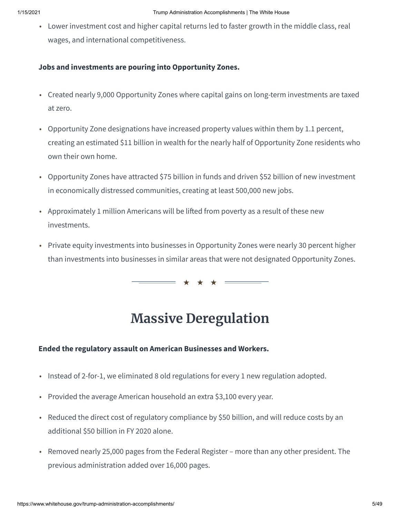• Lower investment cost and higher capital returns led to faster growth in the middle class, real wages, and international competitiveness.

#### **Jobs and investments are pouring into Opportunity Zones.**

- Created nearly 9,000 Opportunity Zones where capital gains on long-term investments are taxed at zero.
- Opportunity Zone designations have increased property values within them by 1.1 percent, creating an estimated \$11 billion in wealth for the nearly half of Opportunity Zone residents who own their own home.
- Opportunity Zones have attracted \$75 billion in funds and driven \$52 billion of new investment in economically distressed communities, creating at least 500,000 new jobs.
- Approximately 1 million Americans will be lifted from poverty as a result of these new investments.
- Private equity investments into businesses in Opportunity Zones were nearly 30 percent higher than investments into businesses in similar areas that were not designated Opportunity Zones.

★ ★ ★

## **Massive Deregulation**

#### **Ended the regulatory assault on American Businesses and Workers.**

- Instead of 2-for-1, we eliminated 8 old regulations for every 1 new regulation adopted.
- Provided the average American household an extra \$3,100 every year.
- Reduced the direct cost of regulatory compliance by \$50 billion, and will reduce costs by an additional \$50 billion in FY 2020 alone.
- Removed nearly 25,000 pages from the Federal Register more than any other president. The previous administration added over 16,000 pages.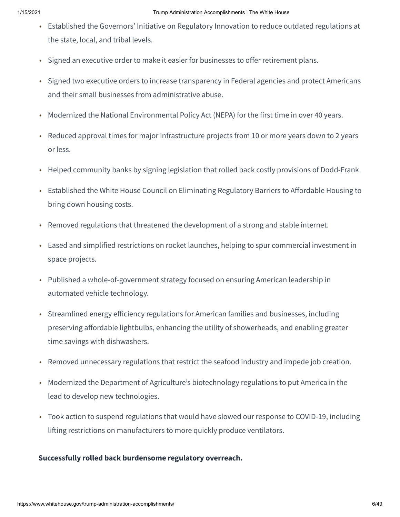- Established the Governors' Initiative on Regulatory Innovation to reduce outdated regulations at the state, local, and tribal levels.
- Signed an executive order to make it easier for businesses to offer retirement plans.
- Signed two executive orders to increase transparency in Federal agencies and protect Americans and their small businesses from administrative abuse.
- Modernized the National Environmental Policy Act (NEPA) for the first time in over 40 years.
- Reduced approval times for major infrastructure projects from 10 or more years down to 2 years or less.
- Helped community banks by signing legislation that rolled back costly provisions of Dodd-Frank.
- Established the White House Council on Eliminating Regulatory Barriers to Affordable Housing to bring down housing costs.
- Removed regulations that threatened the development of a strong and stable internet.
- Eased and simplified restrictions on rocket launches, helping to spur commercial investment in space projects.
- Published a whole-of-government strategy focused on ensuring American leadership in automated vehicle technology.
- Streamlined energy efficiency regulations for American families and businesses, including preserving affordable lightbulbs, enhancing the utility of showerheads, and enabling greater time savings with dishwashers.
- Removed unnecessary regulations that restrict the seafood industry and impede job creation.
- Modernized the Department of Agriculture's biotechnology regulations to put America in the lead to develop new technologies.
- Took action to suspend regulations that would have slowed our response to COVID-19, including lifting restrictions on manufacturers to more quickly produce ventilators.

#### **Successfully rolled back burdensome regulatory overreach.**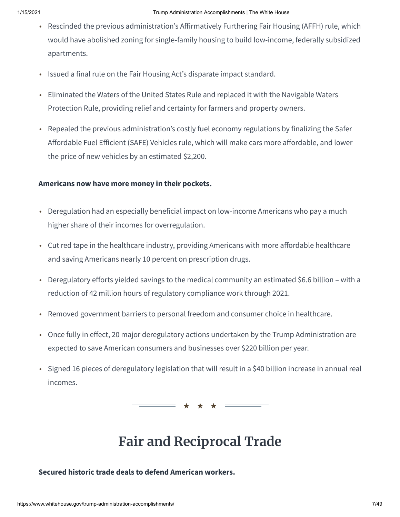- Rescinded the previous administration's Affirmatively Furthering Fair Housing (AFFH) rule, which would have abolished zoning for single-family housing to build low-income, federally subsidized apartments.
- Issued a final rule on the Fair Housing Act's disparate impact standard.
- Eliminated the Waters of the United States Rule and replaced it with the Navigable Waters Protection Rule, providing relief and certainty for farmers and property owners.
- Repealed the previous administration's costly fuel economy regulations by finalizing the Safer Affordable Fuel Efficient (SAFE) Vehicles rule, which will make cars more affordable, and lower the price of new vehicles by an estimated \$2,200.

#### **Americans now have more money in their pockets.**

- Deregulation had an especially beneficial impact on low-income Americans who pay a much higher share of their incomes for overregulation.
- Cut red tape in the healthcare industry, providing Americans with more affordable healthcare and saving Americans nearly 10 percent on prescription drugs.
- Deregulatory efforts yielded savings to the medical community an estimated \$6.6 billion with a reduction of 42 million hours of regulatory compliance work through 2021.
- Removed government barriers to personal freedom and consumer choice in healthcare.
- Once fully in effect, 20 major deregulatory actions undertaken by the Trump Administration are expected to save American consumers and businesses over \$220 billion per year.
- Signed 16 pieces of deregulatory legislation that will result in a \$40 billion increase in annual real incomes.

★ ★ ★

## **Fair and Reciprocal Trade**

#### **Secured historic trade deals to defend American workers.**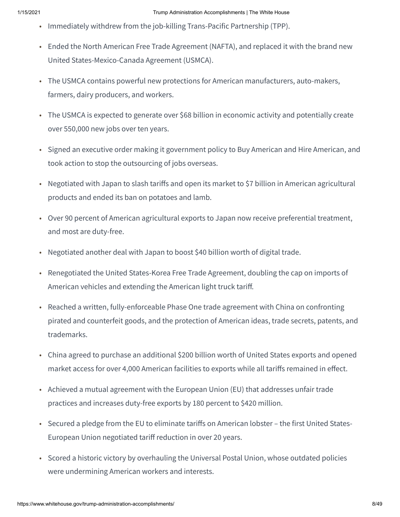- Immediately withdrew from the job-killing Trans-Pacific Partnership (TPP).
- Ended the North American Free Trade Agreement (NAFTA), and replaced it with the brand new United States-Mexico-Canada Agreement (USMCA).
- The USMCA contains powerful new protections for American manufacturers, auto-makers, farmers, dairy producers, and workers.
- The USMCA is expected to generate over \$68 billion in economic activity and potentially create over 550,000 new jobs over ten years.
- Signed an executive order making it government policy to Buy American and Hire American, and took action to stop the outsourcing of jobs overseas.
- Negotiated with Japan to slash tariffs and open its market to \$7 billion in American agricultural products and ended its ban on potatoes and lamb.
- Over 90 percent of American agricultural exports to Japan now receive preferential treatment, and most are duty-free.
- Negotiated another deal with Japan to boost \$40 billion worth of digital trade.
- Renegotiated the United States-Korea Free Trade Agreement, doubling the cap on imports of American vehicles and extending the American light truck tariff.
- Reached a written, fully-enforceable Phase One trade agreement with China on confronting pirated and counterfeit goods, and the protection of American ideas, trade secrets, patents, and trademarks.
- China agreed to purchase an additional \$200 billion worth of United States exports and opened market access for over 4,000 American facilities to exports while all tariffs remained in effect.
- Achieved a mutual agreement with the European Union (EU) that addresses unfair trade practices and increases duty-free exports by 180 percent to \$420 million.
- Secured a pledge from the EU to eliminate tariffs on American lobster the first United States-European Union negotiated tariff reduction in over 20 years.
- Scored a historic victory by overhauling the Universal Postal Union, whose outdated policies were undermining American workers and interests.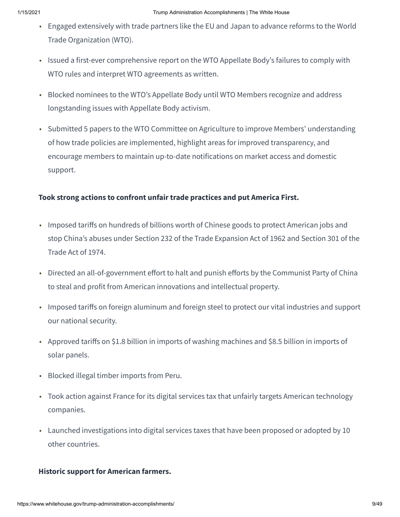- Engaged extensively with trade partners like the EU and Japan to advance reforms to the World Trade Organization (WTO).
- Issued a first-ever comprehensive report on the WTO Appellate Body's failures to comply with WTO rules and interpret WTO agreements as written.
- Blocked nominees to the WTO's Appellate Body until WTO Members recognize and address longstanding issues with Appellate Body activism.
- Submitted 5 papers to the WTO Committee on Agriculture to improve Members' understanding of how trade policies are implemented, highlight areas for improved transparency, and encourage members to maintain up-to-date notifications on market access and domestic support.

#### **Took strong actions to confront unfair trade practices and put America First.**

- Imposed tariffs on hundreds of billions worth of Chinese goods to protect American jobs and stop China's abuses under Section 232 of the Trade Expansion Act of 1962 and Section 301 of the Trade Act of 1974.
- Directed an all-of-government effort to halt and punish efforts by the Communist Party of China to steal and profit from American innovations and intellectual property.
- Imposed tariffs on foreign aluminum and foreign steel to protect our vital industries and support our national security.
- Approved tariffs on \$1.8 billion in imports of washing machines and \$8.5 billion in imports of solar panels.
- Blocked illegal timber imports from Peru.
- Took action against France for its digital services tax that unfairly targets American technology companies.
- Launched investigations into digital services taxes that have been proposed or adopted by 10 other countries.

#### **Historic support for American farmers.**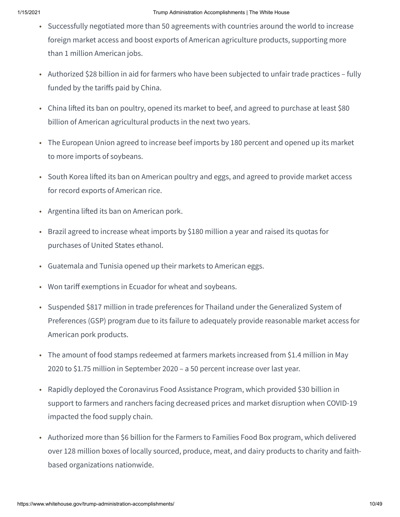- Successfully negotiated more than 50 agreements with countries around the world to increase foreign market access and boost exports of American agriculture products, supporting more than 1 million American jobs.
- Authorized \$28 billion in aid for farmers who have been subjected to unfair trade practices fully funded by the tariffs paid by China.
- China lifted its ban on poultry, opened its market to beef, and agreed to purchase at least \$80 billion of American agricultural products in the next two years.
- The European Union agreed to increase beef imports by 180 percent and opened up its market to more imports of soybeans.
- South Korea lifted its ban on American poultry and eggs, and agreed to provide market access for record exports of American rice.
- Argentina lifted its ban on American pork.
- Brazil agreed to increase wheat imports by \$180 million a year and raised its quotas for purchases of United States ethanol.
- Guatemala and Tunisia opened up their markets to American eggs.
- Won tariff exemptions in Ecuador for wheat and soybeans.
- Suspended \$817 million in trade preferences for Thailand under the Generalized System of Preferences (GSP) program due to its failure to adequately provide reasonable market access for American pork products.
- The amount of food stamps redeemed at farmers markets increased from \$1.4 million in May 2020 to \$1.75 million in September 2020 – a 50 percent increase over last year.
- Rapidly deployed the Coronavirus Food Assistance Program, which provided \$30 billion in support to farmers and ranchers facing decreased prices and market disruption when COVID-19 impacted the food supply chain.
- Authorized more than \$6 billion for the Farmers to Families Food Box program, which delivered over 128 million boxes of locally sourced, produce, meat, and dairy products to charity and faithbased organizations nationwide.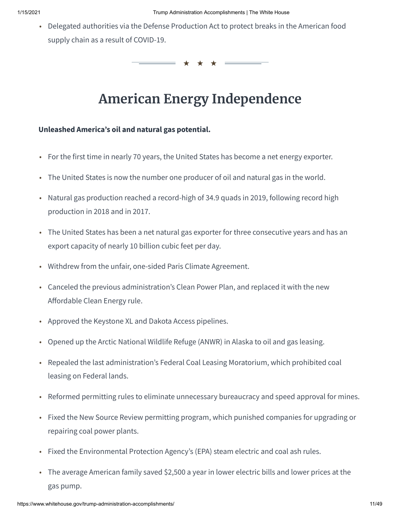• Delegated authorities via the Defense Production Act to protect breaks in the American food supply chain as a result of COVID-19.

★ ★ ★

## **American Energy Independence**

#### **Unleashed America's oil and natural gas potential.**

- For the first time in nearly 70 years, the United States has become a net energy exporter.
- The United States is now the number one producer of oil and natural gas in the world.
- Natural gas production reached a record-high of 34.9 quads in 2019, following record high production in 2018 and in 2017.
- The United States has been a net natural gas exporter for three consecutive years and has an export capacity of nearly 10 billion cubic feet per day.
- Withdrew from the unfair, one-sided Paris Climate Agreement.
- Canceled the previous administration's Clean Power Plan, and replaced it with the new Affordable Clean Energy rule.
- Approved the Keystone XL and Dakota Access pipelines.
- Opened up the Arctic National Wildlife Refuge (ANWR) in Alaska to oil and gas leasing.
- Repealed the last administration's Federal Coal Leasing Moratorium, which prohibited coal leasing on Federal lands.
- Reformed permitting rules to eliminate unnecessary bureaucracy and speed approval for mines.
- Fixed the New Source Review permitting program, which punished companies for upgrading or repairing coal power plants.
- Fixed the Environmental Protection Agency's (EPA) steam electric and coal ash rules.
- The average American family saved \$2,500 a year in lower electric bills and lower prices at the gas pump.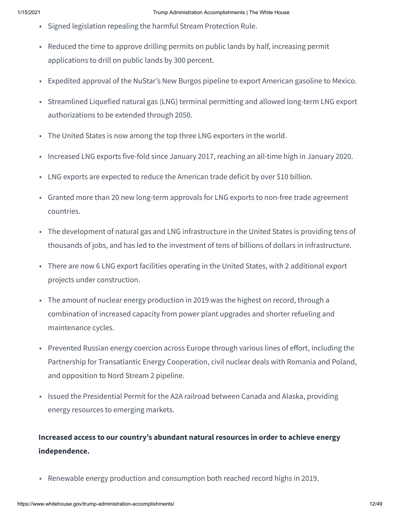- Signed legislation repealing the harmful Stream Protection Rule.
- Reduced the time to approve drilling permits on public lands by half, increasing permit applications to drill on public lands by 300 percent.
- Expedited approval of the NuStar's New Burgos pipeline to export American gasoline to Mexico.
- Streamlined Liquefied natural gas (LNG) terminal permitting and allowed long-term LNG export authorizations to be extended through 2050.
- The United States is now among the top three LNG exporters in the world.
- Increased LNG exports five-fold since January 2017, reaching an all-time high in January 2020.
- LNG exports are expected to reduce the American trade deficit by over \$10 billion.
- Granted more than 20 new long-term approvals for LNG exports to non-free trade agreement countries.
- The development of natural gas and LNG infrastructure in the United States is providing tens of thousands of jobs, and has led to the investment of tens of billions of dollars in infrastructure.
- There are now 6 LNG export facilities operating in the United States, with 2 additional export projects under construction.
- The amount of nuclear energy production in 2019 was the highest on record, through a combination of increased capacity from power plant upgrades and shorter refueling and maintenance cycles.
- Prevented Russian energy coercion across Europe through various lines of effort, including the Partnership for Transatlantic Energy Cooperation, civil nuclear deals with Romania and Poland, and opposition to Nord Stream 2 pipeline.
- Issued the Presidential Permit for the A2A railroad between Canada and Alaska, providing energy resources to emerging markets.

### **Increased access to our country's abundant natural resources in order to achieve energy independence.**

• Renewable energy production and consumption both reached record highs in 2019.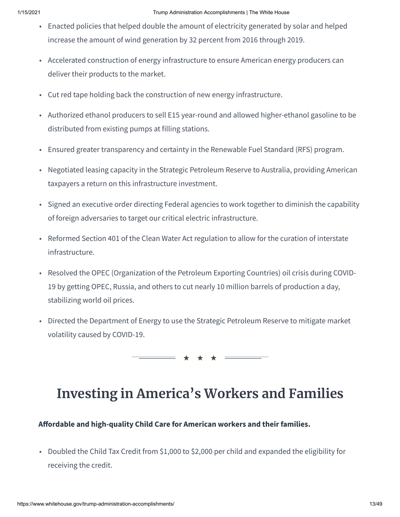- Enacted policies that helped double the amount of electricity generated by solar and helped increase the amount of wind generation by 32 percent from 2016 through 2019.
- Accelerated construction of energy infrastructure to ensure American energy producers can deliver their products to the market.
- Cut red tape holding back the construction of new energy infrastructure.
- Authorized ethanol producers to sell E15 year-round and allowed higher-ethanol gasoline to be distributed from existing pumps at filling stations.
- Ensured greater transparency and certainty in the Renewable Fuel Standard (RFS) program.
- Negotiated leasing capacity in the Strategic Petroleum Reserve to Australia, providing American taxpayers a return on this infrastructure investment.
- Signed an executive order directing Federal agencies to work together to diminish the capability of foreign adversaries to target our critical electric infrastructure.
- Reformed Section 401 of the Clean Water Act regulation to allow for the curation of interstate infrastructure.
- Resolved the OPEC (Organization of the Petroleum Exporting Countries) oil crisis during COVID-19 by getting OPEC, Russia, and others to cut nearly 10 million barrels of production a day, stabilizing world oil prices.
- Directed the Department of Energy to use the Strategic Petroleum Reserve to mitigate market volatility caused by COVID-19.

★ ★ ★

## **Investing in America's Workers and Families**

**Aordable and high-quality Child Care for American workers and their families.**

• Doubled the Child Tax Credit from \$1,000 to \$2,000 per child and expanded the eligibility for receiving the credit.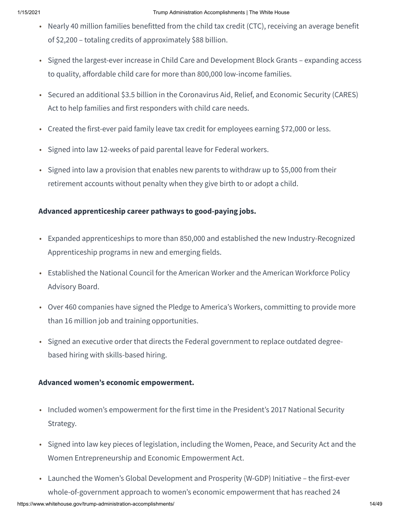- Nearly 40 million families benefitted from the child tax credit (CTC), receiving an average benefit of \$2,200 – totaling credits of approximately \$88 billion.
- Signed the largest-ever increase in Child Care and Development Block Grants expanding access to quality, affordable child care for more than 800,000 low-income families.
- Secured an additional \$3.5 billion in the Coronavirus Aid, Relief, and Economic Security (CARES) Act to help families and first responders with child care needs.
- Created the first-ever paid family leave tax credit for employees earning \$72,000 or less.
- Signed into law 12-weeks of paid parental leave for Federal workers.
- Signed into law a provision that enables new parents to withdraw up to \$5,000 from their retirement accounts without penalty when they give birth to or adopt a child.

#### **Advanced apprenticeship career pathways to good-paying jobs.**

- Expanded apprenticeships to more than 850,000 and established the new Industry-Recognized Apprenticeship programs in new and emerging fields.
- Established the National Council for the American Worker and the American Workforce Policy Advisory Board.
- Over 460 companies have signed the Pledge to America's Workers, committing to provide more than 16 million job and training opportunities.
- Signed an executive order that directs the Federal government to replace outdated degreebased hiring with skills-based hiring.

#### **Advanced women's economic empowerment.**

- Included women's empowerment for the first time in the President's 2017 National Security Strategy.
- Signed into law key pieces of legislation, including the Women, Peace, and Security Act and the Women Entrepreneurship and Economic Empowerment Act.
- Launched the Women's Global Development and Prosperity (W-GDP) Initiative the first-ever whole-of-government approach to women's economic empowerment that has reached 24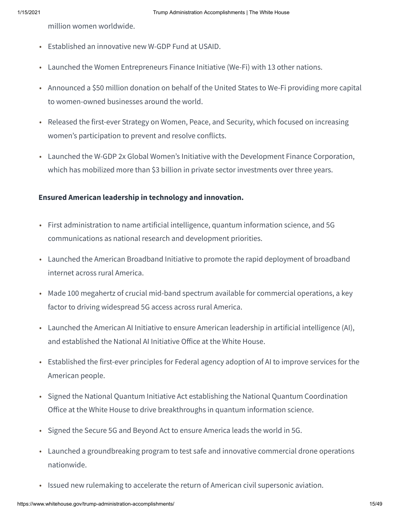million women worldwide.

- Established an innovative new W-GDP Fund at USAID.
- Launched the Women Entrepreneurs Finance Initiative (We-Fi) with 13 other nations.
- Announced a \$50 million donation on behalf of the United States to We-Fi providing more capital to women-owned businesses around the world.
- Released the first-ever Strategy on Women, Peace, and Security, which focused on increasing women's participation to prevent and resolve conflicts.
- Launched the W-GDP 2x Global Women's Initiative with the Development Finance Corporation, which has mobilized more than \$3 billion in private sector investments over three years.

#### **Ensured American leadership in technology and innovation.**

- First administration to name artificial intelligence, quantum information science, and 5G communications as national research and development priorities.
- Launched the American Broadband Initiative to promote the rapid deployment of broadband internet across rural America.
- Made 100 megahertz of crucial mid-band spectrum available for commercial operations, a key factor to driving widespread 5G access across rural America.
- Launched the American AI Initiative to ensure American leadership in artificial intelligence (AI), and established the National AI Initiative Office at the White House.
- Established the first-ever principles for Federal agency adoption of AI to improve services for the American people.
- Signed the National Quantum Initiative Act establishing the National Quantum Coordination Office at the White House to drive breakthroughs in quantum information science.
- Signed the Secure 5G and Beyond Act to ensure America leads the world in 5G.
- Launched a groundbreaking program to test safe and innovative commercial drone operations nationwide.
- Issued new rulemaking to accelerate the return of American civil supersonic aviation.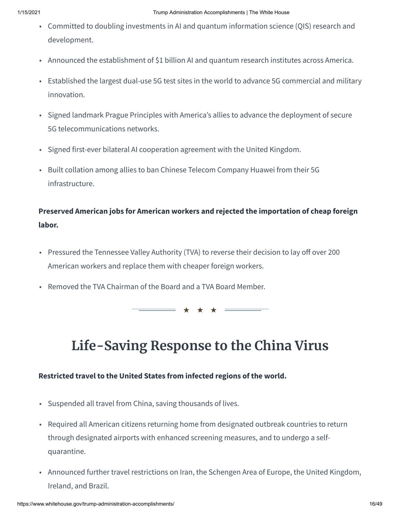- Committed to doubling investments in AI and quantum information science (QIS) research and development.
- Announced the establishment of \$1 billion AI and quantum research institutes across America.
- Established the largest dual-use 5G test sites in the world to advance 5G commercial and military innovation.
- Signed landmark Prague Principles with America's allies to advance the deployment of secure 5G telecommunications networks.
- Signed first-ever bilateral AI cooperation agreement with the United Kingdom.
- Built collation among allies to ban Chinese Telecom Company Huawei from their 5G infrastructure.

### **Preserved American jobs for American workers and rejected the importation of cheap foreign labor.**

- Pressured the Tennessee Valley Authority (TVA) to reverse their decision to lay off over 200 American workers and replace them with cheaper foreign workers.
- Removed the TVA Chairman of the Board and a TVA Board Member.

★ ★ ★

## **Life-Saving Response to the China Virus**

#### **Restricted travel to the United States from infected regions of the world.**

- Suspended all travel from China, saving thousands of lives.
- Required all American citizens returning home from designated outbreak countries to return through designated airports with enhanced screening measures, and to undergo a selfquarantine.
- Announced further travel restrictions on Iran, the Schengen Area of Europe, the United Kingdom, Ireland, and Brazil.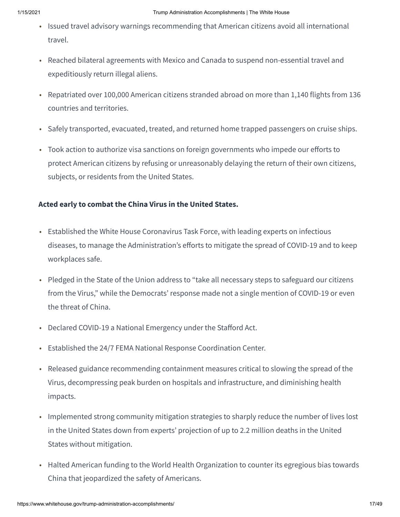- Issued travel advisory warnings recommending that American citizens avoid all international travel.
- Reached bilateral agreements with Mexico and Canada to suspend non-essential travel and expeditiously return illegal aliens.
- Repatriated over 100,000 American citizens stranded abroad on more than 1,140 flights from 136 countries and territories.
- Safely transported, evacuated, treated, and returned home trapped passengers on cruise ships.
- Took action to authorize visa sanctions on foreign governments who impede our efforts to protect American citizens by refusing or unreasonably delaying the return of their own citizens, subjects, or residents from the United States.

#### **Acted early to combat the China Virus in the United States.**

- Established the White House Coronavirus Task Force, with leading experts on infectious diseases, to manage the Administration's efforts to mitigate the spread of COVID-19 and to keep workplaces safe.
- Pledged in the State of the Union address to "take all necessary steps to safeguard our citizens from the Virus," while the Democrats' response made not a single mention of COVID-19 or even the threat of China.
- Declared COVID-19 a National Emergency under the Stafford Act.
- Established the 24/7 FEMA National Response Coordination Center.
- Released guidance recommending containment measures critical to slowing the spread of the Virus, decompressing peak burden on hospitals and infrastructure, and diminishing health impacts.
- Implemented strong community mitigation strategies to sharply reduce the number of lives lost in the United States down from experts' projection of up to 2.2 million deaths in the United States without mitigation.
- Halted American funding to the World Health Organization to counter its egregious bias towards China that jeopardized the safety of Americans.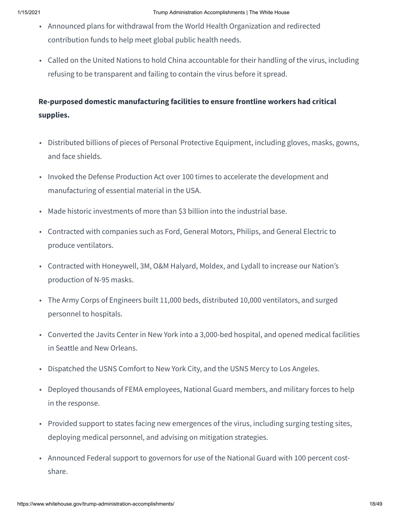- Announced plans for withdrawal from the World Health Organization and redirected contribution funds to help meet global public health needs.
- Called on the United Nations to hold China accountable for their handling of the virus, including refusing to be transparent and failing to contain the virus before it spread.

## **Re-purposed domestic manufacturing facilities to ensure frontline workers had critical supplies.**

- Distributed billions of pieces of Personal Protective Equipment, including gloves, masks, gowns, and face shields.
- Invoked the Defense Production Act over 100 times to accelerate the development and manufacturing of essential material in the USA.
- Made historic investments of more than \$3 billion into the industrial base.
- Contracted with companies such as Ford, General Motors, Philips, and General Electric to produce ventilators.
- Contracted with Honeywell, 3M, O&M Halyard, Moldex, and Lydall to increase our Nation's production of N-95 masks.
- The Army Corps of Engineers built 11,000 beds, distributed 10,000 ventilators, and surged personnel to hospitals.
- Converted the Javits Center in New York into a 3,000-bed hospital, and opened medical facilities in Seattle and New Orleans.
- Dispatched the USNS Comfort to New York City, and the USNS Mercy to Los Angeles.
- Deployed thousands of FEMA employees, National Guard members, and military forces to help in the response.
- Provided support to states facing new emergences of the virus, including surging testing sites, deploying medical personnel, and advising on mitigation strategies.
- Announced Federal support to governors for use of the National Guard with 100 percent costshare.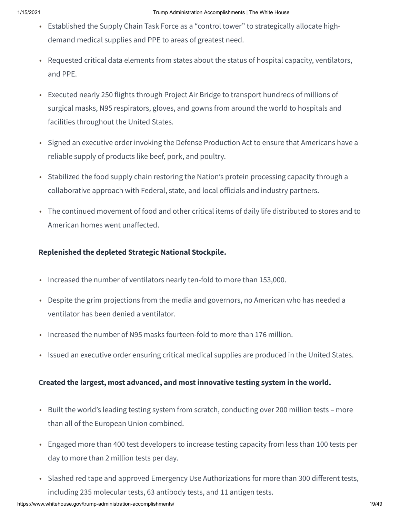- Established the Supply Chain Task Force as a "control tower" to strategically allocate highdemand medical supplies and PPE to areas of greatest need.
- Requested critical data elements from states about the status of hospital capacity, ventilators, and PPE.
- Executed nearly 250 flights through Project Air Bridge to transport hundreds of millions of surgical masks, N95 respirators, gloves, and gowns from around the world to hospitals and facilities throughout the United States.
- Signed an executive order invoking the Defense Production Act to ensure that Americans have a reliable supply of products like beef, pork, and poultry.
- Stabilized the food supply chain restoring the Nation's protein processing capacity through a collaborative approach with Federal, state, and local officials and industry partners.
- The continued movement of food and other critical items of daily life distributed to stores and to American homes went unaffected.

#### **Replenished the depleted Strategic National Stockpile.**

- Increased the number of ventilators nearly ten-fold to more than 153,000.
- Despite the grim projections from the media and governors, no American who has needed a ventilator has been denied a ventilator.
- Increased the number of N95 masks fourteen-fold to more than 176 million.
- Issued an executive order ensuring critical medical supplies are produced in the United States.

#### **Created the largest, most advanced, and most innovative testing system in the world.**

- Built the world's leading testing system from scratch, conducting over 200 million tests more than all of the European Union combined.
- Engaged more than 400 test developers to increase testing capacity from less than 100 tests per day to more than 2 million tests per day.
- Slashed red tape and approved Emergency Use Authorizations for more than 300 different tests, including 235 molecular tests, 63 antibody tests, and 11 antigen tests.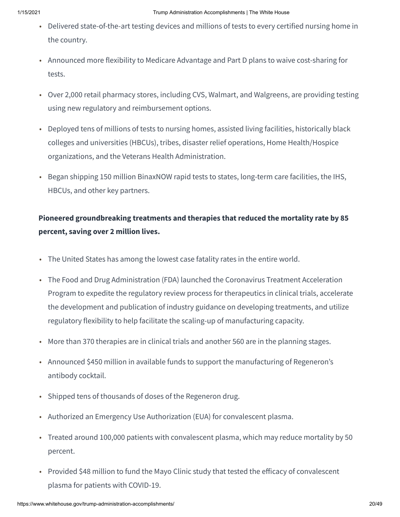- Delivered state-of-the-art testing devices and millions of tests to every certified nursing home in the country.
- Announced more flexibility to Medicare Advantage and Part D plans to waive cost-sharing for tests.
- Over 2,000 retail pharmacy stores, including CVS, Walmart, and Walgreens, are providing testing using new regulatory and reimbursement options.
- Deployed tens of millions of tests to nursing homes, assisted living facilities, historically black colleges and universities (HBCUs), tribes, disaster relief operations, Home Health/Hospice organizations, and the Veterans Health Administration.
- Began shipping 150 million BinaxNOW rapid tests to states, long-term care facilities, the IHS, HBCUs, and other key partners.

### **Pioneered groundbreaking treatments and therapies that reduced the mortality rate by 85 percent, saving over 2 million lives.**

- The United States has among the lowest case fatality rates in the entire world.
- The Food and Drug Administration (FDA) launched the Coronavirus Treatment Acceleration Program to expedite the regulatory review process for therapeutics in clinical trials, accelerate the development and publication of industry guidance on developing treatments, and utilize regulatory flexibility to help facilitate the scaling-up of manufacturing capacity.
- More than 370 therapies are in clinical trials and another 560 are in the planning stages.
- Announced \$450 million in available funds to support the manufacturing of Regeneron's antibody cocktail.
- Shipped tens of thousands of doses of the Regeneron drug.
- Authorized an Emergency Use Authorization (EUA) for convalescent plasma.
- Treated around 100,000 patients with convalescent plasma, which may reduce mortality by 50 percent.
- Provided \$48 million to fund the Mayo Clinic study that tested the efficacy of convalescent plasma for patients with COVID-19.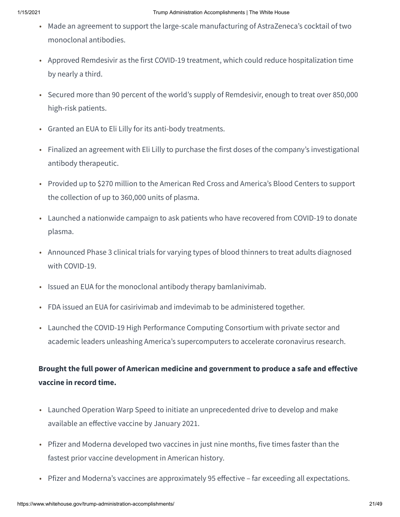- Made an agreement to support the large-scale manufacturing of AstraZeneca's cocktail of two monoclonal antibodies.
- Approved Remdesivir as the first COVID-19 treatment, which could reduce hospitalization time by nearly a third.
- Secured more than 90 percent of the world's supply of Remdesivir, enough to treat over 850,000 high-risk patients.
- Granted an EUA to Eli Lilly for its anti-body treatments.
- Finalized an agreement with Eli Lilly to purchase the first doses of the company's investigational antibody therapeutic.
- Provided up to \$270 million to the American Red Cross and America's Blood Centers to support the collection of up to 360,000 units of plasma.
- Launched a nationwide campaign to ask patients who have recovered from COVID-19 to donate plasma.
- Announced Phase 3 clinical trials for varying types of blood thinners to treat adults diagnosed with COVID-19.
- Issued an EUA for the monoclonal antibody therapy bamlanivimab.
- FDA issued an EUA for casirivimab and imdevimab to be administered together.
- Launched the COVID-19 High Performance Computing Consortium with private sector and academic leaders unleashing America's supercomputers to accelerate coronavirus research.

### **Brought the full power of American medicine and government to produce a safe and eective vaccine in record time.**

- Launched Operation Warp Speed to initiate an unprecedented drive to develop and make available an effective vaccine by January 2021.
- Pfizer and Moderna developed two vaccines in just nine months, five times faster than the fastest prior vaccine development in American history.
- Pfizer and Moderna's vaccines are approximately 95 effective far exceeding all expectations.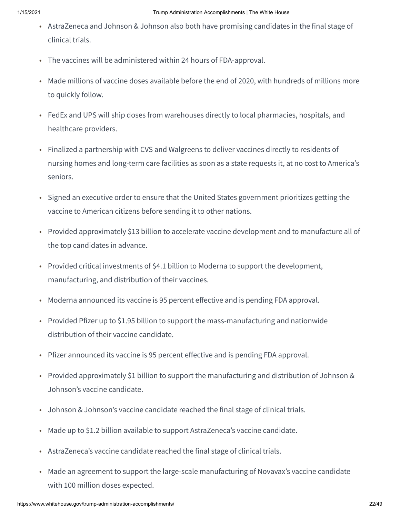- AstraZeneca and Johnson & Johnson also both have promising candidates in the final stage of clinical trials.
- The vaccines will be administered within 24 hours of FDA-approval.
- Made millions of vaccine doses available before the end of 2020, with hundreds of millions more to quickly follow.
- FedEx and UPS will ship doses from warehouses directly to local pharmacies, hospitals, and healthcare providers.
- Finalized a partnership with CVS and Walgreens to deliver vaccines directly to residents of nursing homes and long-term care facilities as soon as a state requests it, at no cost to America's seniors.
- Signed an executive order to ensure that the United States government prioritizes getting the vaccine to American citizens before sending it to other nations.
- Provided approximately \$13 billion to accelerate vaccine development and to manufacture all of the top candidates in advance.
- Provided critical investments of \$4.1 billion to Moderna to support the development, manufacturing, and distribution of their vaccines.
- Moderna announced its vaccine is 95 percent effective and is pending FDA approval.
- Provided Pfizer up to \$1.95 billion to support the mass-manufacturing and nationwide distribution of their vaccine candidate.
- Pfizer announced its vaccine is 95 percent effective and is pending FDA approval.
- Provided approximately \$1 billion to support the manufacturing and distribution of Johnson & Johnson's vaccine candidate.
- Johnson & Johnson's vaccine candidate reached the final stage of clinical trials.
- Made up to \$1.2 billion available to support AstraZeneca's vaccine candidate.
- AstraZeneca's vaccine candidate reached the final stage of clinical trials.
- Made an agreement to support the large-scale manufacturing of Novavax's vaccine candidate with 100 million doses expected.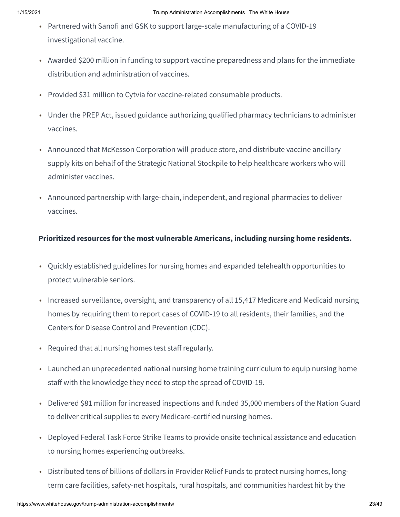- Partnered with Sanofi and GSK to support large-scale manufacturing of a COVID-19 investigational vaccine.
- Awarded \$200 million in funding to support vaccine preparedness and plans for the immediate distribution and administration of vaccines.
- Provided \$31 million to Cytvia for vaccine-related consumable products.
- Under the PREP Act, issued guidance authorizing qualified pharmacy technicians to administer vaccines.
- Announced that McKesson Corporation will produce store, and distribute vaccine ancillary supply kits on behalf of the Strategic National Stockpile to help healthcare workers who will administer vaccines.
- Announced partnership with large-chain, independent, and regional pharmacies to deliver vaccines.

#### **Prioritized resources for the most vulnerable Americans, including nursing home residents.**

- Quickly established guidelines for nursing homes and expanded telehealth opportunities to protect vulnerable seniors.
- Increased surveillance, oversight, and transparency of all 15,417 Medicare and Medicaid nursing homes by requiring them to report cases of COVID-19 to all residents, their families, and the Centers for Disease Control and Prevention (CDC).
- Required that all nursing homes test staff regularly.
- Launched an unprecedented national nursing home training curriculum to equip nursing home staff with the knowledge they need to stop the spread of COVID-19.
- Delivered \$81 million for increased inspections and funded 35,000 members of the Nation Guard to deliver critical supplies to every Medicare-certified nursing homes.
- Deployed Federal Task Force Strike Teams to provide onsite technical assistance and education to nursing homes experiencing outbreaks.
- Distributed tens of billions of dollars in Provider Relief Funds to protect nursing homes, longterm care facilities, safety-net hospitals, rural hospitals, and communities hardest hit by the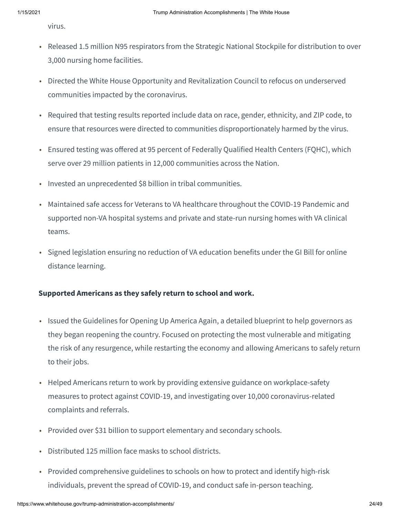virus.

- Released 1.5 million N95 respirators from the Strategic National Stockpile for distribution to over 3,000 nursing home facilities.
- Directed the White House Opportunity and Revitalization Council to refocus on underserved communities impacted by the coronavirus.
- Required that testing results reported include data on race, gender, ethnicity, and ZIP code, to ensure that resources were directed to communities disproportionately harmed by the virus.
- Ensured testing was offered at 95 percent of Federally Qualified Health Centers (FQHC), which serve over 29 million patients in 12,000 communities across the Nation.
- Invested an unprecedented \$8 billion in tribal communities.
- Maintained safe access for Veterans to VA healthcare throughout the COVID-19 Pandemic and supported non-VA hospital systems and private and state-run nursing homes with VA clinical teams.
- Signed legislation ensuring no reduction of VA education benefits under the GI Bill for online distance learning.

#### **Supported Americans as they safely return to school and work.**

- Issued the Guidelines for Opening Up America Again, a detailed blueprint to help governors as they began reopening the country. Focused on protecting the most vulnerable and mitigating the risk of any resurgence, while restarting the economy and allowing Americans to safely return to their jobs.
- Helped Americans return to work by providing extensive guidance on workplace-safety measures to protect against COVID-19, and investigating over 10,000 coronavirus-related complaints and referrals.
- Provided over \$31 billion to support elementary and secondary schools.
- Distributed 125 million face masks to school districts.
- Provided comprehensive guidelines to schools on how to protect and identify high-risk individuals, prevent the spread of COVID-19, and conduct safe in-person teaching.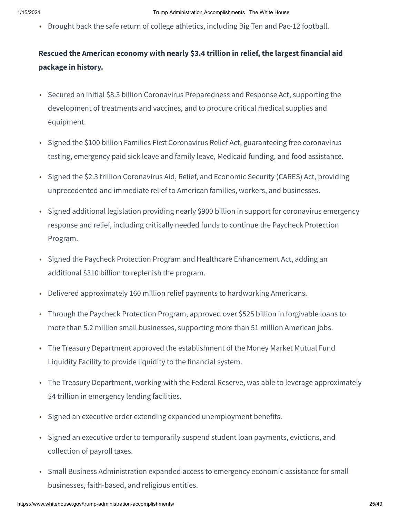• Brought back the safe return of college athletics, including Big Ten and Pac-12 football.

## **Rescued the American economy with nearly \$3.4 trillion in relief, the largest financial aid package in history.**

- Secured an initial \$8.3 billion Coronavirus Preparedness and Response Act, supporting the development of treatments and vaccines, and to procure critical medical supplies and equipment.
- Signed the \$100 billion Families First Coronavirus Relief Act, guaranteeing free coronavirus testing, emergency paid sick leave and family leave, Medicaid funding, and food assistance.
- Signed the \$2.3 trillion Coronavirus Aid, Relief, and Economic Security (CARES) Act, providing unprecedented and immediate relief to American families, workers, and businesses.
- Signed additional legislation providing nearly \$900 billion in support for coronavirus emergency response and relief, including critically needed funds to continue the Paycheck Protection Program.
- Signed the Paycheck Protection Program and Healthcare Enhancement Act, adding an additional \$310 billion to replenish the program.
- Delivered approximately 160 million relief payments to hardworking Americans.
- Through the Paycheck Protection Program, approved over \$525 billion in forgivable loans to more than 5.2 million small businesses, supporting more than 51 million American jobs.
- The Treasury Department approved the establishment of the Money Market Mutual Fund Liquidity Facility to provide liquidity to the financial system.
- The Treasury Department, working with the Federal Reserve, was able to leverage approximately \$4 trillion in emergency lending facilities.
- Signed an executive order extending expanded unemployment benefits.
- Signed an executive order to temporarily suspend student loan payments, evictions, and collection of payroll taxes.
- Small Business Administration expanded access to emergency economic assistance for small businesses, faith-based, and religious entities.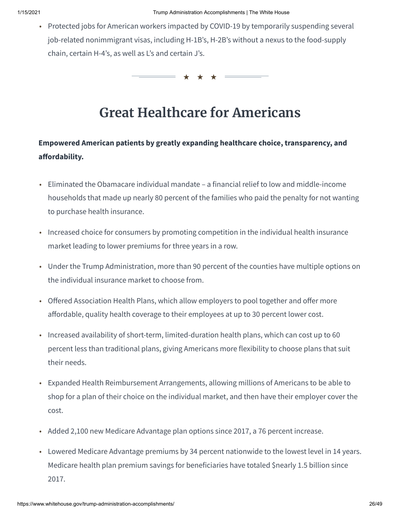• Protected jobs for American workers impacted by COVID-19 by temporarily suspending several job-related nonimmigrant visas, including H-1B's, H-2B's without a nexus to the food-supply chain, certain H-4's, as well as L's and certain J's.

★ ★ ★

## **Great Healthcare for Americans**

### **Empowered American patients by greatly expanding healthcare choice, transparency, and** affordability.

- Eliminated the Obamacare individual mandate a financial relief to low and middle-income households that made up nearly 80 percent of the families who paid the penalty for not wanting to purchase health insurance.
- Increased choice for consumers by promoting competition in the individual health insurance market leading to lower premiums for three years in a row.
- Under the Trump Administration, more than 90 percent of the counties have multiple options on the individual insurance market to choose from.
- Offered Association Health Plans, which allow employers to pool together and offer more affordable, quality health coverage to their employees at up to 30 percent lower cost.
- Increased availability of short-term, limited-duration health plans, which can cost up to 60 percent less than traditional plans, giving Americans more flexibility to choose plans that suit their needs.
- Expanded Health Reimbursement Arrangements, allowing millions of Americans to be able to shop for a plan of their choice on the individual market, and then have their employer cover the cost.
- Added 2,100 new Medicare Advantage plan options since 2017, a 76 percent increase.
- Lowered Medicare Advantage premiums by 34 percent nationwide to the lowest level in 14 years. Medicare health plan premium savings for beneficiaries have totaled \$nearly 1.5 billion since 2017.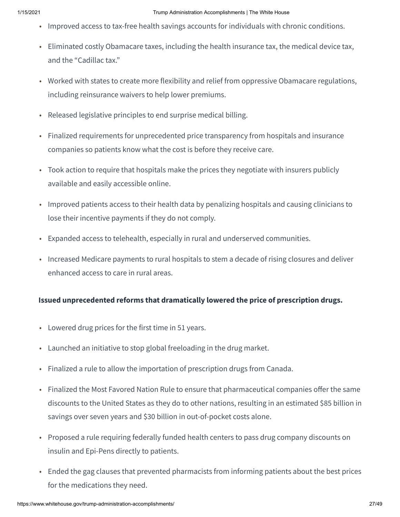- Improved access to tax-free health savings accounts for individuals with chronic conditions.
- Eliminated costly Obamacare taxes, including the health insurance tax, the medical device tax, and the "Cadillac tax."
- Worked with states to create more flexibility and relief from oppressive Obamacare regulations, including reinsurance waivers to help lower premiums.
- Released legislative principles to end surprise medical billing.
- Finalized requirements for unprecedented price transparency from hospitals and insurance companies so patients know what the cost is before they receive care.
- Took action to require that hospitals make the prices they negotiate with insurers publicly available and easily accessible online.
- Improved patients access to their health data by penalizing hospitals and causing clinicians to lose their incentive payments if they do not comply.
- Expanded access to telehealth, especially in rural and underserved communities.
- Increased Medicare payments to rural hospitals to stem a decade of rising closures and deliver enhanced access to care in rural areas.

#### **Issued unprecedented reforms that dramatically lowered the price of prescription drugs.**

- Lowered drug prices for the first time in 51 years.
- Launched an initiative to stop global freeloading in the drug market.
- Finalized a rule to allow the importation of prescription drugs from Canada.
- Finalized the Most Favored Nation Rule to ensure that pharmaceutical companies offer the same discounts to the United States as they do to other nations, resulting in an estimated \$85 billion in savings over seven years and \$30 billion in out-of-pocket costs alone.
- Proposed a rule requiring federally funded health centers to pass drug company discounts on insulin and Epi-Pens directly to patients.
- Ended the gag clauses that prevented pharmacists from informing patients about the best prices for the medications they need.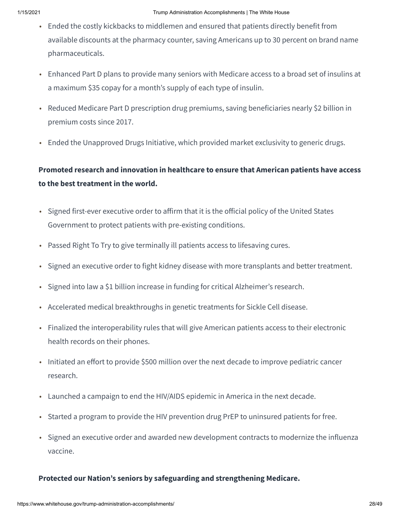- Ended the costly kickbacks to middlemen and ensured that patients directly benefit from available discounts at the pharmacy counter, saving Americans up to 30 percent on brand name pharmaceuticals.
- Enhanced Part D plans to provide many seniors with Medicare access to a broad set of insulins at a maximum \$35 copay for a month's supply of each type of insulin.
- Reduced Medicare Part D prescription drug premiums, saving beneficiaries nearly \$2 billion in premium costs since 2017.
- Ended the Unapproved Drugs Initiative, which provided market exclusivity to generic drugs.

### **Promoted research and innovation in healthcare to ensure that American patients have access to the best treatment in the world.**

- Signed first-ever executive order to affirm that it is the official policy of the United States Government to protect patients with pre-existing conditions.
- Passed Right To Try to give terminally ill patients access to lifesaving cures.
- Signed an executive order to fight kidney disease with more transplants and better treatment.
- Signed into law a \$1 billion increase in funding for critical Alzheimer's research.
- Accelerated medical breakthroughs in genetic treatments for Sickle Cell disease.
- Finalized the interoperability rules that will give American patients access to their electronic health records on their phones.
- Initiated an effort to provide \$500 million over the next decade to improve pediatric cancer research.
- Launched a campaign to end the HIV/AIDS epidemic in America in the next decade.
- Started a program to provide the HIV prevention drug PrEP to uninsured patients for free.
- Signed an executive order and awarded new development contracts to modernize the influenza vaccine.

#### **Protected our Nation's seniors by safeguarding and strengthening Medicare.**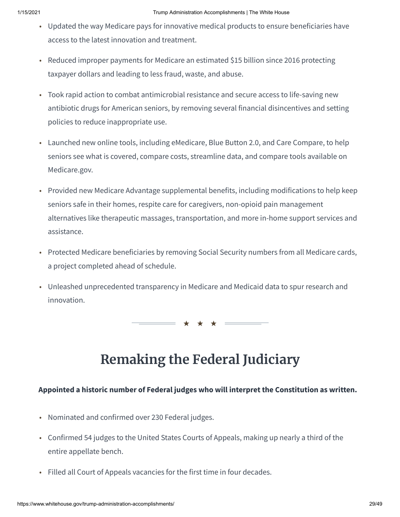- Updated the way Medicare pays for innovative medical products to ensure beneficiaries have access to the latest innovation and treatment.
- Reduced improper payments for Medicare an estimated \$15 billion since 2016 protecting taxpayer dollars and leading to less fraud, waste, and abuse.
- Took rapid action to combat antimicrobial resistance and secure access to life-saving new antibiotic drugs for American seniors, by removing several financial disincentives and setting policies to reduce inappropriate use.
- Launched new online tools, including eMedicare, Blue Button 2.0, and Care Compare, to help seniors see what is covered, compare costs, streamline data, and compare tools available on Medicare.gov.
- Provided new Medicare Advantage supplemental benefits, including modifications to help keep seniors safe in their homes, respite care for caregivers, non-opioid pain management alternatives like therapeutic massages, transportation, and more in-home support services and assistance.
- Protected Medicare beneficiaries by removing Social Security numbers from all Medicare cards, a project completed ahead of schedule.
- Unleashed unprecedented transparency in Medicare and Medicaid data to spur research and innovation.

★ ★ ★

## **Remaking the Federal Judiciary**

#### **Appointed a historic number of Federal judges who will interpret the Constitution as written.**

- Nominated and confirmed over 230 Federal judges.
- Confirmed 54 judges to the United States Courts of Appeals, making up nearly a third of the entire appellate bench.
- Filled all Court of Appeals vacancies for the first time in four decades.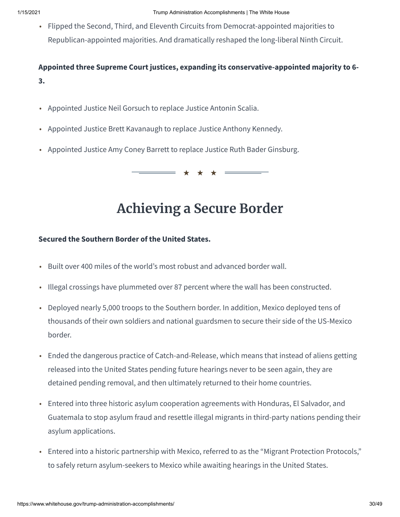• Flipped the Second, Third, and Eleventh Circuits from Democrat-appointed majorities to Republican-appointed majorities. And dramatically reshaped the long-liberal Ninth Circuit.

**Appointed three Supreme Court justices, expanding its conservative-appointed majority to 6- 3.**

- Appointed Justice Neil Gorsuch to replace Justice Antonin Scalia.
- Appointed Justice Brett Kavanaugh to replace Justice Anthony Kennedy.
- Appointed Justice Amy Coney Barrett to replace Justice Ruth Bader Ginsburg.

★ ★ ★

## **Achieving a Secure Border**

#### **Secured the Southern Border of the United States.**

- Built over 400 miles of the world's most robust and advanced border wall.
- Illegal crossings have plummeted over 87 percent where the wall has been constructed.
- Deployed nearly 5,000 troops to the Southern border. In addition, Mexico deployed tens of thousands of their own soldiers and national guardsmen to secure their side of the US-Mexico border.
- Ended the dangerous practice of Catch-and-Release, which means that instead of aliens getting released into the United States pending future hearings never to be seen again, they are detained pending removal, and then ultimately returned to their home countries.
- Entered into three historic asylum cooperation agreements with Honduras, El Salvador, and Guatemala to stop asylum fraud and resettle illegal migrants in third-party nations pending their asylum applications.
- Entered into a historic partnership with Mexico, referred to as the "Migrant Protection Protocols," to safely return asylum-seekers to Mexico while awaiting hearings in the United States.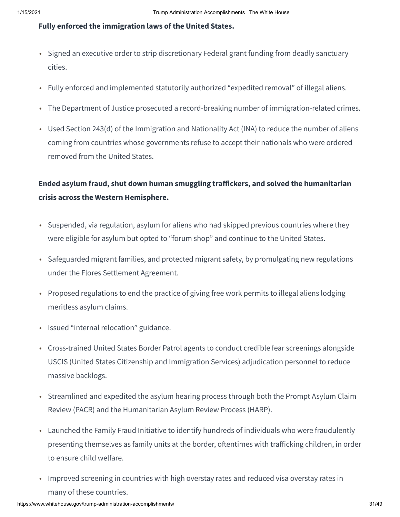#### **Fully enforced the immigration laws of the United States.**

- Signed an executive order to strip discretionary Federal grant funding from deadly sanctuary cities.
- Fully enforced and implemented statutorily authorized "expedited removal" of illegal aliens.
- The Department of Justice prosecuted a record-breaking number of immigration-related crimes.
- Used Section 243(d) of the Immigration and Nationality Act (INA) to reduce the number of aliens coming from countries whose governments refuse to accept their nationals who were ordered removed from the United States.

### **Ended asylum fraud, shut down human smuggling traickers, and solved the humanitarian crisis across the Western Hemisphere.**

- Suspended, via regulation, asylum for aliens who had skipped previous countries where they were eligible for asylum but opted to "forum shop" and continue to the United States.
- Safeguarded migrant families, and protected migrant safety, by promulgating new regulations under the Flores Settlement Agreement.
- Proposed regulations to end the practice of giving free work permits to illegal aliens lodging meritless asylum claims.
- Issued "internal relocation" guidance.
- Cross-trained United States Border Patrol agents to conduct credible fear screenings alongside USCIS (United States Citizenship and Immigration Services) adjudication personnel to reduce massive backlogs.
- Streamlined and expedited the asylum hearing process through both the Prompt Asylum Claim Review (PACR) and the Humanitarian Asylum Review Process (HARP).
- Launched the Family Fraud Initiative to identify hundreds of individuals who were fraudulently presenting themselves as family units at the border, oftentimes with trafficking children, in order to ensure child welfare.
- Improved screening in countries with high overstay rates and reduced visa overstay rates in many of these countries.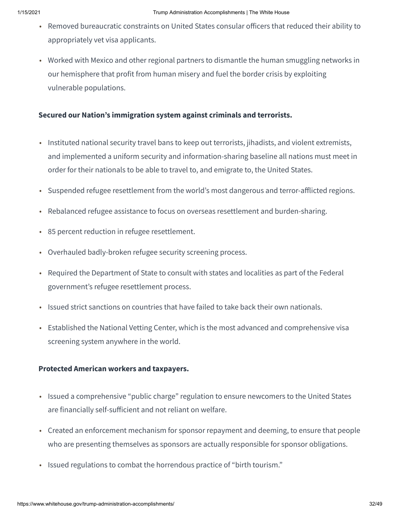- Removed bureaucratic constraints on United States consular officers that reduced their ability to appropriately vet visa applicants.
- Worked with Mexico and other regional partners to dismantle the human smuggling networks in our hemisphere that profit from human misery and fuel the border crisis by exploiting vulnerable populations.

#### **Secured our Nation's immigration system against criminals and terrorists.**

- Instituted national security travel bans to keep out terrorists, jihadists, and violent extremists, and implemented a uniform security and information-sharing baseline all nations must meet in order for their nationals to be able to travel to, and emigrate to, the United States.
- Suspended refugee resettlement from the world's most dangerous and terror-afflicted regions.
- Rebalanced refugee assistance to focus on overseas resettlement and burden-sharing.
- 85 percent reduction in refugee resettlement.
- Overhauled badly-broken refugee security screening process.
- Required the Department of State to consult with states and localities as part of the Federal government's refugee resettlement process.
- Issued strict sanctions on countries that have failed to take back their own nationals.
- Established the National Vetting Center, which is the most advanced and comprehensive visa screening system anywhere in the world.

#### **Protected American workers and taxpayers.**

- Issued a comprehensive "public charge" regulation to ensure newcomers to the United States are financially self-sufficient and not reliant on welfare.
- Created an enforcement mechanism for sponsor repayment and deeming, to ensure that people who are presenting themselves as sponsors are actually responsible for sponsor obligations.
- Issued regulations to combat the horrendous practice of "birth tourism."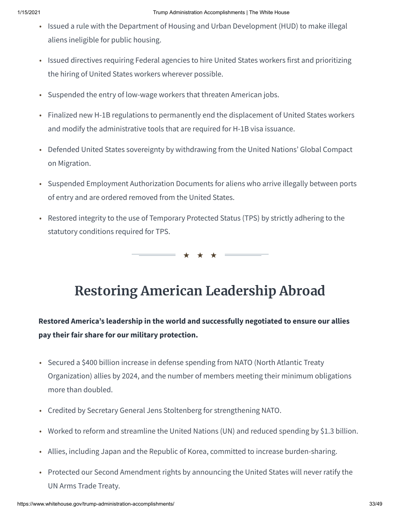- Issued a rule with the Department of Housing and Urban Development (HUD) to make illegal aliens ineligible for public housing.
- Issued directives requiring Federal agencies to hire United States workers first and prioritizing the hiring of United States workers wherever possible.
- Suspended the entry of low-wage workers that threaten American jobs.
- Finalized new H-1B regulations to permanently end the displacement of United States workers and modify the administrative tools that are required for H-1B visa issuance.
- Defended United States sovereignty by withdrawing from the United Nations' Global Compact on Migration.
- Suspended Employment Authorization Documents for aliens who arrive illegally between ports of entry and are ordered removed from the United States.
- Restored integrity to the use of Temporary Protected Status (TPS) by strictly adhering to the statutory conditions required for TPS.

★ ★ ★

## **Restoring American Leadership Abroad**

### **Restored America's leadership in the world and successfully negotiated to ensure our allies pay their fair share for our military protection.**

- Secured a \$400 billion increase in defense spending from NATO (North Atlantic Treaty Organization) allies by 2024, and the number of members meeting their minimum obligations more than doubled.
- Credited by Secretary General Jens Stoltenberg for strengthening NATO.
- Worked to reform and streamline the United Nations (UN) and reduced spending by \$1.3 billion.
- Allies, including Japan and the Republic of Korea, committed to increase burden-sharing.
- Protected our Second Amendment rights by announcing the United States will never ratify the UN Arms Trade Treaty.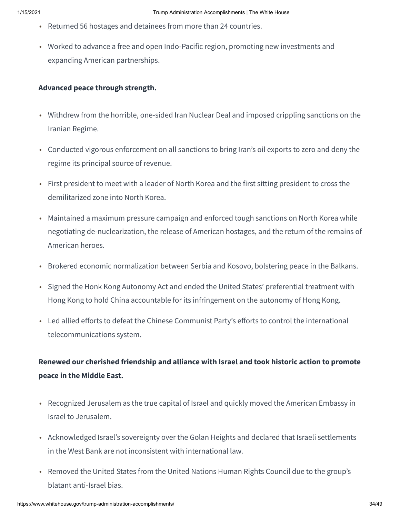- Returned 56 hostages and detainees from more than 24 countries.
- Worked to advance a free and open Indo-Pacific region, promoting new investments and expanding American partnerships.

#### **Advanced peace through strength.**

- Withdrew from the horrible, one-sided Iran Nuclear Deal and imposed crippling sanctions on the Iranian Regime.
- Conducted vigorous enforcement on all sanctions to bring Iran's oil exports to zero and deny the regime its principal source of revenue.
- First president to meet with a leader of North Korea and the first sitting president to cross the demilitarized zone into North Korea.
- Maintained a maximum pressure campaign and enforced tough sanctions on North Korea while negotiating de-nuclearization, the release of American hostages, and the return of the remains of American heroes.
- Brokered economic normalization between Serbia and Kosovo, bolstering peace in the Balkans.
- Signed the Honk Kong Autonomy Act and ended the United States' preferential treatment with Hong Kong to hold China accountable for its infringement on the autonomy of Hong Kong.
- Led allied efforts to defeat the Chinese Communist Party's efforts to control the international telecommunications system.

### **Renewed our cherished friendship and alliance with Israel and took historic action to promote peace in the Middle East.**

- Recognized Jerusalem as the true capital of Israel and quickly moved the American Embassy in Israel to Jerusalem.
- Acknowledged Israel's sovereignty over the Golan Heights and declared that Israeli settlements in the West Bank are not inconsistent with international law.
- Removed the United States from the United Nations Human Rights Council due to the group's blatant anti-Israel bias.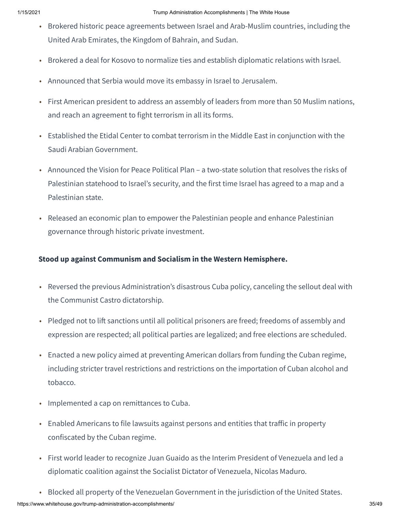- Brokered historic peace agreements between Israel and Arab-Muslim countries, including the United Arab Emirates, the Kingdom of Bahrain, and Sudan.
- Brokered a deal for Kosovo to normalize ties and establish diplomatic relations with Israel.
- Announced that Serbia would move its embassy in Israel to Jerusalem.
- First American president to address an assembly of leaders from more than 50 Muslim nations, and reach an agreement to fight terrorism in all its forms.
- Established the Etidal Center to combat terrorism in the Middle East in conjunction with the Saudi Arabian Government.
- Announced the Vision for Peace Political Plan a two-state solution that resolves the risks of Palestinian statehood to Israel's security, and the first time Israel has agreed to a map and a Palestinian state.
- Released an economic plan to empower the Palestinian people and enhance Palestinian governance through historic private investment.

#### **Stood up against Communism and Socialism in the Western Hemisphere.**

- Reversed the previous Administration's disastrous Cuba policy, canceling the sellout deal with the Communist Castro dictatorship.
- Pledged not to lift sanctions until all political prisoners are freed; freedoms of assembly and expression are respected; all political parties are legalized; and free elections are scheduled.
- Enacted a new policy aimed at preventing American dollars from funding the Cuban regime, including stricter travel restrictions and restrictions on the importation of Cuban alcohol and tobacco.
- Implemented a cap on remittances to Cuba.
- Enabled Americans to file lawsuits against persons and entities that traffic in property confiscated by the Cuban regime.
- First world leader to recognize Juan Guaido as the Interim President of Venezuela and led a diplomatic coalition against the Socialist Dictator of Venezuela, Nicolas Maduro.
- Blocked all property of the Venezuelan Government in the jurisdiction of the United States.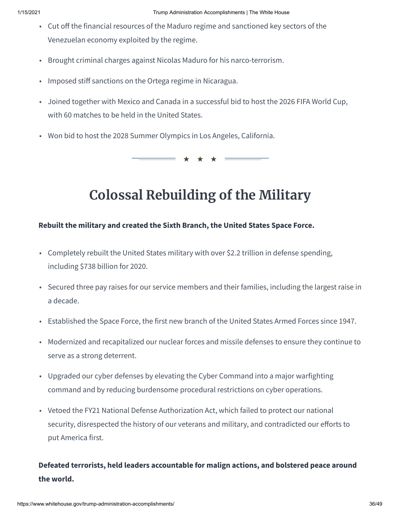- Cut off the financial resources of the Maduro regime and sanctioned key sectors of the Venezuelan economy exploited by the regime.
- Brought criminal charges against Nicolas Maduro for his narco-terrorism.
- Imposed stiff sanctions on the Ortega regime in Nicaragua.
- Joined together with Mexico and Canada in a successful bid to host the 2026 FIFA World Cup, with 60 matches to be held in the United States.
- Won bid to host the 2028 Summer Olympics in Los Angeles, California.

★ ★ ★

## **Colossal Rebuilding of the Military**

#### **Rebuilt the military and created the Sixth Branch, the United States Space Force.**

- Completely rebuilt the United States military with over \$2.2 trillion in defense spending, including \$738 billion for 2020.
- Secured three pay raises for our service members and their families, including the largest raise in a decade.
- Established the Space Force, the first new branch of the United States Armed Forces since 1947.
- Modernized and recapitalized our nuclear forces and missile defenses to ensure they continue to serve as a strong deterrent.
- Upgraded our cyber defenses by elevating the Cyber Command into a major warfighting command and by reducing burdensome procedural restrictions on cyber operations.
- Vetoed the FY21 National Defense Authorization Act, which failed to protect our national security, disrespected the history of our veterans and military, and contradicted our efforts to put America first.

### **Defeated terrorists, held leaders accountable for malign actions, and bolstered peace around the world.**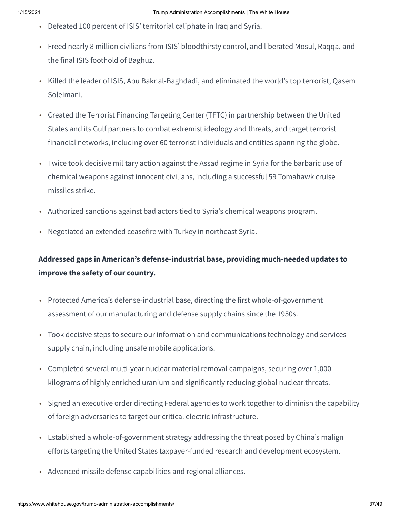- Defeated 100 percent of ISIS' territorial caliphate in Iraq and Syria.
- Freed nearly 8 million civilians from ISIS' bloodthirsty control, and liberated Mosul, Raqqa, and the final ISIS foothold of Baghuz.
- Killed the leader of ISIS, Abu Bakr al-Baghdadi, and eliminated the world's top terrorist, Qasem Soleimani.
- Created the Terrorist Financing Targeting Center (TFTC) in partnership between the United States and its Gulf partners to combat extremist ideology and threats, and target terrorist financial networks, including over 60 terrorist individuals and entities spanning the globe.
- Twice took decisive military action against the Assad regime in Syria for the barbaric use of chemical weapons against innocent civilians, including a successful 59 Tomahawk cruise missiles strike.
- Authorized sanctions against bad actors tied to Syria's chemical weapons program.
- Negotiated an extended ceasefire with Turkey in northeast Syria.

### **Addressed gaps in American's defense-industrial base, providing much-needed updates to improve the safety of our country.**

- Protected America's defense-industrial base, directing the first whole-of-government assessment of our manufacturing and defense supply chains since the 1950s.
- Took decisive steps to secure our information and communications technology and services supply chain, including unsafe mobile applications.
- Completed several multi-year nuclear material removal campaigns, securing over 1,000 kilograms of highly enriched uranium and significantly reducing global nuclear threats.
- Signed an executive order directing Federal agencies to work together to diminish the capability of foreign adversaries to target our critical electric infrastructure.
- Established a whole-of-government strategy addressing the threat posed by China's malign efforts targeting the United States taxpayer-funded research and development ecosystem.
- Advanced missile defense capabilities and regional alliances.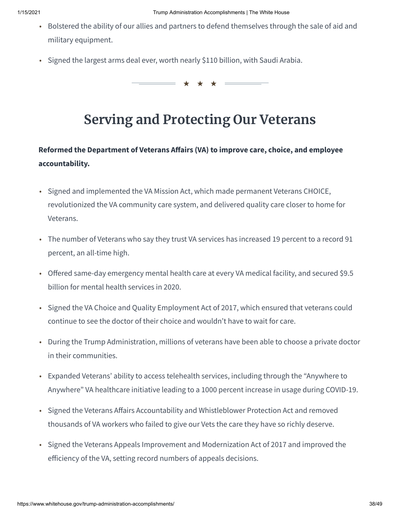- Bolstered the ability of our allies and partners to defend themselves through the sale of aid and military equipment.
- Signed the largest arms deal ever, worth nearly \$110 billion, with Saudi Arabia.

★ ★ ★

## **Serving and Protecting Our Veterans**

## **Reformed the Department of Veterans Aairs (VA) to improve care, choice, and employee accountability.**

- Signed and implemented the VA Mission Act, which made permanent Veterans CHOICE, revolutionized the VA community care system, and delivered quality care closer to home for Veterans.
- The number of Veterans who say they trust VA services has increased 19 percent to a record 91 percent, an all-time high.
- Offered same-day emergency mental health care at every VA medical facility, and secured \$9.5 billion for mental health services in 2020.
- Signed the VA Choice and Quality Employment Act of 2017, which ensured that veterans could continue to see the doctor of their choice and wouldn't have to wait for care.
- During the Trump Administration, millions of veterans have been able to choose a private doctor in their communities.
- Expanded Veterans' ability to access telehealth services, including through the "Anywhere to Anywhere" VA healthcare initiative leading to a 1000 percent increase in usage during COVID-19.
- Signed the Veterans Affairs Accountability and Whistleblower Protection Act and removed thousands of VA workers who failed to give our Vets the care they have so richly deserve.
- Signed the Veterans Appeals Improvement and Modernization Act of 2017 and improved the efficiency of the VA, setting record numbers of appeals decisions.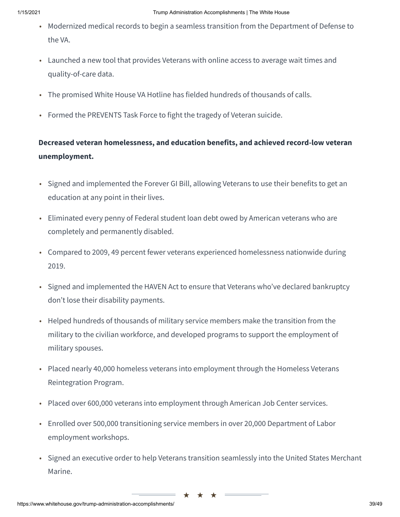- Modernized medical records to begin a seamless transition from the Department of Defense to the VA.
- Launched a new tool that provides Veterans with online access to average wait times and quality-of-care data.
- The promised White House VA Hotline has fielded hundreds of thousands of calls.
- Formed the PREVENTS Task Force to fight the tragedy of Veteran suicide.

### **Decreased veteran homelessness, and education benefits, and achieved record-low veteran unemployment.**

- Signed and implemented the Forever GI Bill, allowing Veterans to use their benefits to get an education at any point in their lives.
- Eliminated every penny of Federal student loan debt owed by American veterans who are completely and permanently disabled.
- Compared to 2009, 49 percent fewer veterans experienced homelessness nationwide during 2019.
- Signed and implemented the HAVEN Act to ensure that Veterans who've declared bankruptcy don't lose their disability payments.
- Helped hundreds of thousands of military service members make the transition from the military to the civilian workforce, and developed programs to support the employment of military spouses.
- Placed nearly 40,000 homeless veterans into employment through the Homeless Veterans Reintegration Program.
- Placed over 600,000 veterans into employment through American Job Center services.
- Enrolled over 500,000 transitioning service members in over 20,000 Department of Labor employment workshops.
- Signed an executive order to help Veterans transition seamlessly into the United States Merchant Marine.

★ ★ ★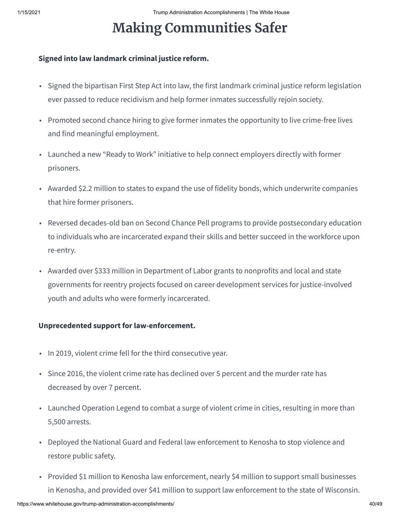# **Making Communities Safer**

#### **Signed into law landmark criminal justice reform.**

- Signed the bipartisan First Step Act into law, the first landmark criminal justice reform legislation ever passed to reduce recidivism and help former inmates successfully rejoin society.
- Promoted second chance hiring to give former inmates the opportunity to live crime-free lives and find meaningful employment.
- Launched a new "Ready to Work" initiative to help connect employers directly with former prisoners.
- Awarded \$2.2 million to states to expand the use of fidelity bonds, which underwrite companies that hire former prisoners.
- Reversed decades-old ban on Second Chance Pell programs to provide postsecondary education to individuals who are incarcerated expand their skills and better succeed in the workforce upon re-entry.
- Awarded over \$333 million in Department of Labor grants to nonprofits and local and state governments for reentry projects focused on career development services for justice-involved youth and adults who were formerly incarcerated.

#### **Unprecedented support for law-enforcement.**

- In 2019, violent crime fell for the third consecutive year.
- Since 2016, the violent crime rate has declined over 5 percent and the murder rate has decreased by over 7 percent.
- Launched Operation Legend to combat a surge of violent crime in cities, resulting in more than 5,500 arrests.
- Deployed the National Guard and Federal law enforcement to Kenosha to stop violence and restore public safety.
- Provided \$1 million to Kenosha law enforcement, nearly \$4 million to support small businesses in Kenosha, and provided over \$41 million to support law enforcement to the state of Wisconsin.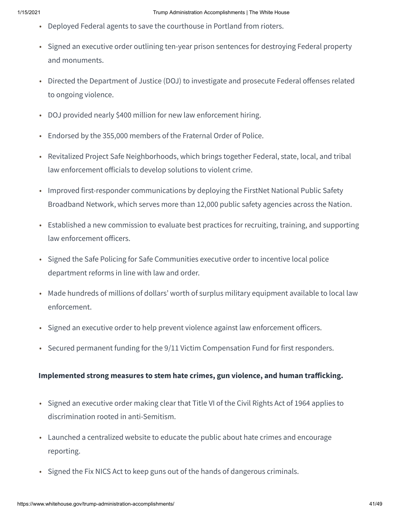- Deployed Federal agents to save the courthouse in Portland from rioters.
- Signed an executive order outlining ten-year prison sentences for destroying Federal property and monuments.
- Directed the Department of Justice (DOJ) to investigate and prosecute Federal offenses related to ongoing violence.
- DOJ provided nearly \$400 million for new law enforcement hiring.
- Endorsed by the 355,000 members of the Fraternal Order of Police.
- Revitalized Project Safe Neighborhoods, which brings together Federal, state, local, and tribal law enforcement officials to develop solutions to violent crime.
- Improved first-responder communications by deploying the FirstNet National Public Safety Broadband Network, which serves more than 12,000 public safety agencies across the Nation.
- Established a new commission to evaluate best practices for recruiting, training, and supporting law enforcement officers.
- Signed the Safe Policing for Safe Communities executive order to incentive local police department reforms in line with law and order.
- Made hundreds of millions of dollars' worth of surplus military equipment available to local law enforcement.
- Signed an executive order to help prevent violence against law enforcement officers.
- Secured permanent funding for the 9/11 Victim Compensation Fund for first responders.

#### **Implemented strong measures to stem hate crimes, gun violence, and human traicking.**

- Signed an executive order making clear that Title VI of the Civil Rights Act of 1964 applies to discrimination rooted in anti-Semitism.
- Launched a centralized website to educate the public about hate crimes and encourage reporting.
- Signed the Fix NICS Act to keep guns out of the hands of dangerous criminals.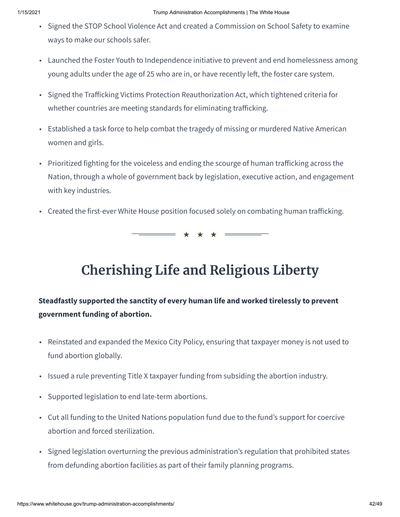- Signed the STOP School Violence Act and created a Commission on School Safety to examine ways to make our schools safer.
- Launched the Foster Youth to Independence initiative to prevent and end homelessness among young adults under the age of 25 who are in, or have recently left, the foster care system.
- Signed the Trafficking Victims Protection Reauthorization Act, which tightened criteria for whether countries are meeting standards for eliminating trafficking.
- Established a task force to help combat the tragedy of missing or murdered Native American women and girls.
- Prioritized fighting for the voiceless and ending the scourge of human trafficking across the Nation, through a whole of government back by legislation, executive action, and engagement with key industries.
- Created the first-ever White House position focused solely on combating human trafficking.

★ ★ ★

## **Cherishing Life and Religious Liberty**

## **Steadfastly supported the sanctity of every human life and worked tirelessly to prevent government funding of abortion.**

- Reinstated and expanded the Mexico City Policy, ensuring that taxpayer money is not used to fund abortion globally.
- Issued a rule preventing Title X taxpayer funding from subsiding the abortion industry.
- Supported legislation to end late-term abortions.
- Cut all funding to the United Nations population fund due to the fund's support for coercive abortion and forced sterilization.
- Signed legislation overturning the previous administration's regulation that prohibited states from defunding abortion facilities as part of their family planning programs.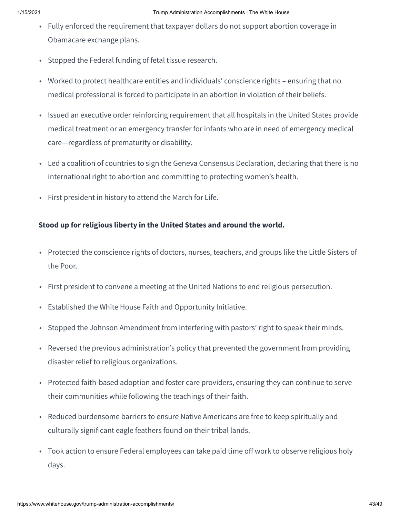- Fully enforced the requirement that taxpayer dollars do not support abortion coverage in Obamacare exchange plans.
- Stopped the Federal funding of fetal tissue research.
- Worked to protect healthcare entities and individuals' conscience rights ensuring that no medical professional is forced to participate in an abortion in violation of their beliefs.
- Issued an executive order reinforcing requirement that all hospitals in the United States provide medical treatment or an emergency transfer for infants who are in need of emergency medical care—regardless of prematurity or disability.
- Led a coalition of countries to sign the Geneva Consensus Declaration, declaring that there is no international right to abortion and committing to protecting women's health.
- First president in history to attend the March for Life.

#### **Stood up for religious liberty in the United States and around the world.**

- Protected the conscience rights of doctors, nurses, teachers, and groups like the Little Sisters of the Poor.
- First president to convene a meeting at the United Nations to end religious persecution.
- Established the White House Faith and Opportunity Initiative.
- Stopped the Johnson Amendment from interfering with pastors' right to speak their minds.
- Reversed the previous administration's policy that prevented the government from providing disaster relief to religious organizations.
- Protected faith-based adoption and foster care providers, ensuring they can continue to serve their communities while following the teachings of their faith.
- Reduced burdensome barriers to ensure Native Americans are free to keep spiritually and culturally significant eagle feathers found on their tribal lands.
- Took action to ensure Federal employees can take paid time off work to observe religious holy days.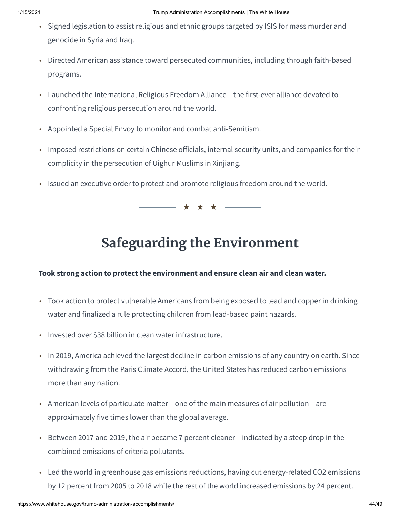- Signed legislation to assist religious and ethnic groups targeted by ISIS for mass murder and genocide in Syria and Iraq.
- Directed American assistance toward persecuted communities, including through faith-based programs.
- Launched the International Religious Freedom Alliance the first-ever alliance devoted to confronting religious persecution around the world.
- Appointed a Special Envoy to monitor and combat anti-Semitism.
- Imposed restrictions on certain Chinese officials, internal security units, and companies for their complicity in the persecution of Uighur Muslims in Xinjiang.
- Issued an executive order to protect and promote religious freedom around the world.

★ ★ ★

## **Safeguarding the Environment**

#### **Took strong action to protect the environment and ensure clean air and clean water.**

- Took action to protect vulnerable Americans from being exposed to lead and copper in drinking water and finalized a rule protecting children from lead-based paint hazards.
- Invested over \$38 billion in clean water infrastructure.
- In 2019, America achieved the largest decline in carbon emissions of any country on earth. Since withdrawing from the Paris Climate Accord, the United States has reduced carbon emissions more than any nation.
- American levels of particulate matter one of the main measures of air pollution are approximately five times lower than the global average.
- Between 2017 and 2019, the air became 7 percent cleaner indicated by a steep drop in the combined emissions of criteria pollutants.
- Led the world in greenhouse gas emissions reductions, having cut energy-related CO2 emissions by 12 percent from 2005 to 2018 while the rest of the world increased emissions by 24 percent.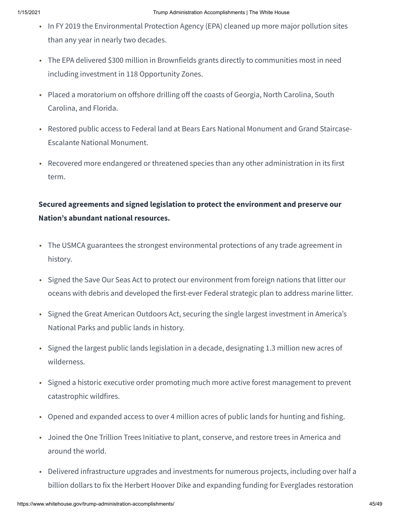- In FY 2019 the Environmental Protection Agency (EPA) cleaned up more major pollution sites than any year in nearly two decades.
- The EPA delivered \$300 million in Brownfields grants directly to communities most in need including investment in 118 Opportunity Zones.
- Placed a moratorium on offshore drilling off the coasts of Georgia, North Carolina, South Carolina, and Florida.
- Restored public access to Federal land at Bears Ears National Monument and Grand Staircase-Escalante National Monument.
- Recovered more endangered or threatened species than any other administration in its first term.

### **Secured agreements and signed legislation to protect the environment and preserve our Nation's abundant national resources.**

- The USMCA guarantees the strongest environmental protections of any trade agreement in history.
- Signed the Save Our Seas Act to protect our environment from foreign nations that litter our oceans with debris and developed the first-ever Federal strategic plan to address marine litter.
- Signed the Great American Outdoors Act, securing the single largest investment in America's National Parks and public lands in history.
- Signed the largest public lands legislation in a decade, designating 1.3 million new acres of wilderness.
- Signed a historic executive order promoting much more active forest management to prevent catastrophic wildfires.
- Opened and expanded access to over 4 million acres of public lands for hunting and fishing.
- Joined the One Trillion Trees Initiative to plant, conserve, and restore trees in America and around the world.
- Delivered infrastructure upgrades and investments for numerous projects, including over half a billion dollars to fix the Herbert Hoover Dike and expanding funding for Everglades restoration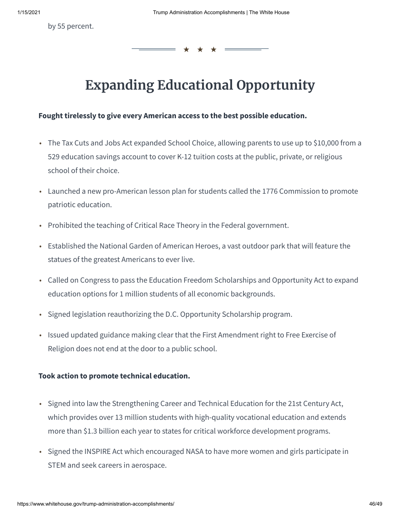by 55 percent.

# **Expanding Educational Opportunity**

★ ★ ★

#### **Fought tirelessly to give every American access to the best possible education.**

- The Tax Cuts and Jobs Act expanded School Choice, allowing parents to use up to \$10,000 from a 529 education savings account to cover K-12 tuition costs at the public, private, or religious school of their choice.
- Launched a new pro-American lesson plan for students called the 1776 Commission to promote patriotic education.
- Prohibited the teaching of Critical Race Theory in the Federal government.
- Established the National Garden of American Heroes, a vast outdoor park that will feature the statues of the greatest Americans to ever live.
- Called on Congress to pass the Education Freedom Scholarships and Opportunity Act to expand education options for 1 million students of all economic backgrounds.
- Signed legislation reauthorizing the D.C. Opportunity Scholarship program.
- Issued updated guidance making clear that the First Amendment right to Free Exercise of Religion does not end at the door to a public school.

#### **Took action to promote technical education.**

- Signed into law the Strengthening Career and Technical Education for the 21st Century Act, which provides over 13 million students with high-quality vocational education and extends more than \$1.3 billion each year to states for critical workforce development programs.
- Signed the INSPIRE Act which encouraged NASA to have more women and girls participate in STEM and seek careers in aerospace.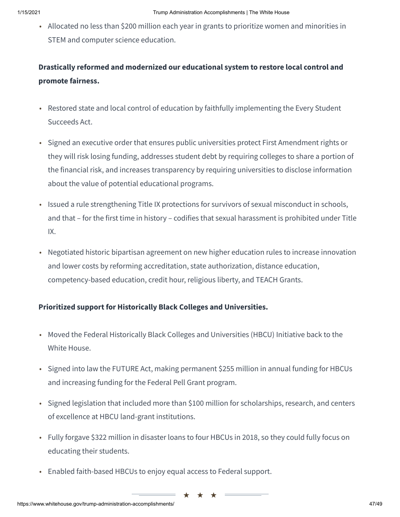• Allocated no less than \$200 million each year in grants to prioritize women and minorities in STEM and computer science education.

## **Drastically reformed and modernized our educational system to restore local control and promote fairness.**

- Restored state and local control of education by faithfully implementing the Every Student Succeeds Act.
- Signed an executive order that ensures public universities protect First Amendment rights or they will risk losing funding, addresses student debt by requiring colleges to share a portion of the financial risk, and increases transparency by requiring universities to disclose information about the value of potential educational programs.
- Issued a rule strengthening Title IX protections for survivors of sexual misconduct in schools, and that – for the first time in history – codifies that sexual harassment is prohibited under Title IX.
- Negotiated historic bipartisan agreement on new higher education rules to increase innovation and lower costs by reforming accreditation, state authorization, distance education, competency-based education, credit hour, religious liberty, and TEACH Grants.

#### **Prioritized support for Historically Black Colleges and Universities.**

- Moved the Federal Historically Black Colleges and Universities (HBCU) Initiative back to the White House.
- Signed into law the FUTURE Act, making permanent \$255 million in annual funding for HBCUs and increasing funding for the Federal Pell Grant program.
- Signed legislation that included more than \$100 million for scholarships, research, and centers of excellence at HBCU land-grant institutions.
- Fully forgave \$322 million in disaster loans to four HBCUs in 2018, so they could fully focus on educating their students.

★ ★ ★

• Enabled faith-based HBCUs to enjoy equal access to Federal support.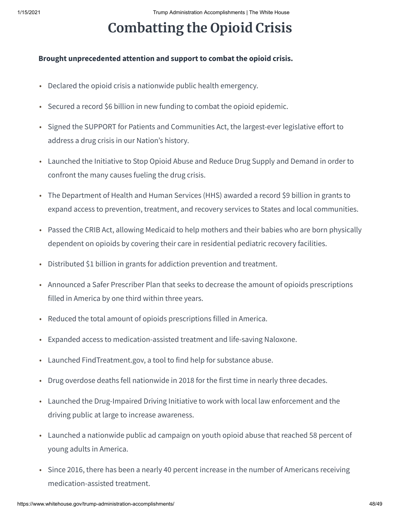# **Combatting the Opioid Crisis**

#### **Brought unprecedented attention and support to combat the opioid crisis.**

- Declared the opioid crisis a nationwide public health emergency.
- Secured a record \$6 billion in new funding to combat the opioid epidemic.
- Signed the SUPPORT for Patients and Communities Act, the largest-ever legislative effort to address a drug crisis in our Nation's history.
- Launched the Initiative to Stop Opioid Abuse and Reduce Drug Supply and Demand in order to confront the many causes fueling the drug crisis.
- The Department of Health and Human Services (HHS) awarded a record \$9 billion in grants to expand access to prevention, treatment, and recovery services to States and local communities.
- Passed the CRIB Act, allowing Medicaid to help mothers and their babies who are born physically dependent on opioids by covering their care in residential pediatric recovery facilities.
- Distributed \$1 billion in grants for addiction prevention and treatment.
- Announced a Safer Prescriber Plan that seeks to decrease the amount of opioids prescriptions filled in America by one third within three years.
- Reduced the total amount of opioids prescriptions filled in America.
- Expanded access to medication-assisted treatment and life-saving Naloxone.
- Launched FindTreatment.gov, a tool to find help for substance abuse.
- Drug overdose deaths fell nationwide in 2018 for the first time in nearly three decades.
- Launched the Drug-Impaired Driving Initiative to work with local law enforcement and the driving public at large to increase awareness.
- Launched a nationwide public ad campaign on youth opioid abuse that reached 58 percent of young adults in America.
- Since 2016, there has been a nearly 40 percent increase in the number of Americans receiving medication-assisted treatment.